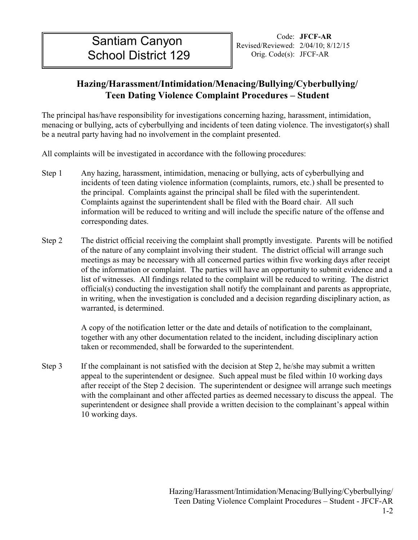II II

## **Teen Dating Violence Complaint Procedures – Student Hazing/Harassment/Intimidation/Menacing/Bullying/Cyberbullying/**

The principal has/have responsibility for investigations concerning hazing, harassment, intimidation, menacing or bullying, acts of cyberbullying and incidents of teen dating violence. The investigator(s) shall be a neutral party having had no involvement in the complaint presented.

All complaints will be investigated in accordance with the following procedures:

- Step 1 Any hazing, harassment, intimidation, menacing or bullying, acts of cyberbullying and incidents of teen dating violence information (complaints, rumors, etc.) shall be presented to the principal. Complaints against the principal shall be filed with the superintendent. Complaints against the superintendent shall be filed with the Board chair. All such information will be reduced to writing and will include the specific nature of the offense and corresponding dates.
- Step 2 The district official receiving the complaint shall promptly investigate. Parents will be notified of the nature of any complaint involving their student. The district official will arrange such meetings as may be necessary with all concerned parties within five working days after receipt of the information or complaint. The parties will have an opportunity to submit evidence and a list of witnesses. All findings related to the complaint will be reduced to writing. The district official(s) conducting the investigation shall notify the complainant and parents as appropriate, in writing, when the investigation is concluded and a decision regarding disciplinary action, as warranted, is determined.

A copy of the notification letter or the date and details of notification to the complainant, together with any other documentation related to the incident, including disciplinary action taken or recommended, shall be forwarded to the superintendent.

Step 3 If the complainant is not satisfied with the decision at Step 2, he/she may submit a written appeal to the superintendent or designee. Such appeal must be filed within 10 working days after receipt of the Step 2 decision. The superintendent or designee will arrange such meetings with the complainant and other affected parties as deemed necessary to discuss the appeal. The superintendent or designee shall provide a written decision to the complainant's appeal within 10 working days.